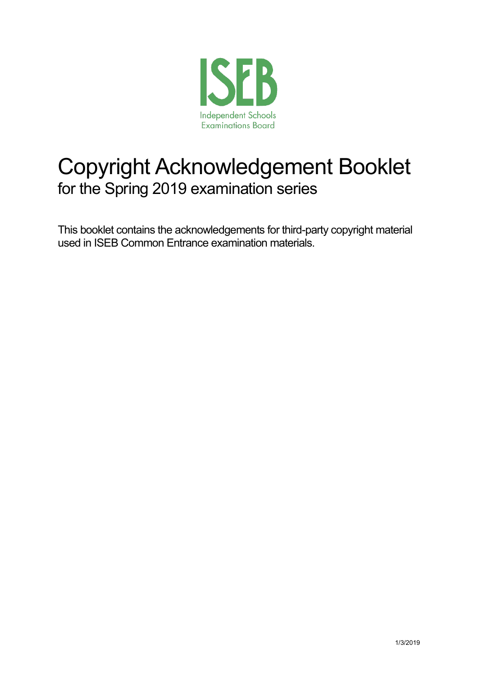

# Copyright Acknowledgement Booklet for the Spring 2019 examination series

This booklet contains the acknowledgements for third-party copyright material used in ISEB Common Entrance examination materials.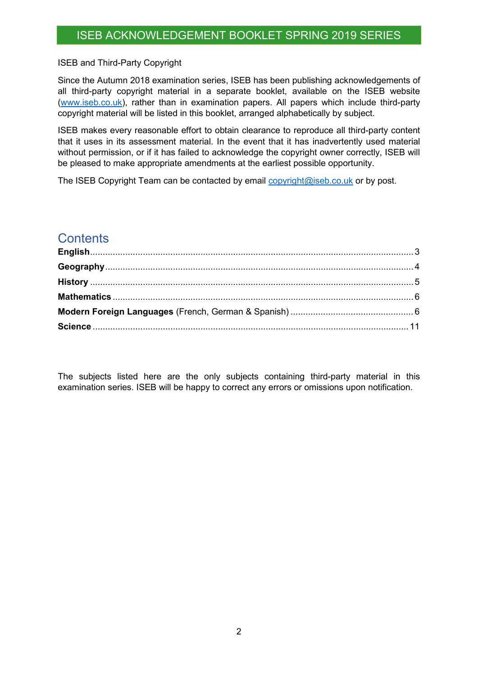#### ISEB and Third-Party Copyright

Since the Autumn 2018 examination series, ISEB has been publishing acknowledgements of all third-party copyright material in a separate booklet, available on the ISEB website [\(www.iseb.co.uk\)](http://www.iseb.co.uk/), rather than in examination papers. All papers which include third-party copyright material will be listed in this booklet, arranged alphabetically by subject.

ISEB makes every reasonable effort to obtain clearance to reproduce all third-party content that it uses in its assessment material. In the event that it has inadvertently used material without permission, or if it has failed to acknowledge the copyright owner correctly, ISEB will be pleased to make appropriate amendments at the earliest possible opportunity.

The ISEB Copyright Team can be contacted by email [copyright@iseb.co.uk](mailto:copyright@iseb.co.uk) or by post.

#### **Contents**

The subjects listed here are the only subjects containing third-party material in this examination series. ISEB will be happy to correct any errors or omissions upon notification.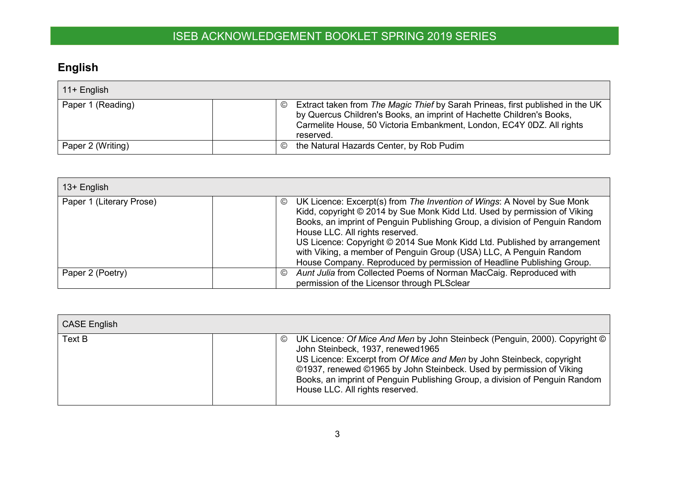## **English**

| $11 +$ English    |               |                                                                                                                                                                                                                                               |
|-------------------|---------------|-----------------------------------------------------------------------------------------------------------------------------------------------------------------------------------------------------------------------------------------------|
| Paper 1 (Reading) | $\circled{c}$ | Extract taken from The Magic Thief by Sarah Prineas, first published in the UK<br>by Quercus Children's Books, an imprint of Hachette Children's Books,<br>Carmelite House, 50 Victoria Embankment, London, EC4Y 0DZ. All rights<br>reserved. |
| Paper 2 (Writing) | $\circled{c}$ | the Natural Hazards Center, by Rob Pudim                                                                                                                                                                                                      |

| 13+ English              |                                                                                                                                                                                                                                                                                                                                                                                                                                                                                                                     |
|--------------------------|---------------------------------------------------------------------------------------------------------------------------------------------------------------------------------------------------------------------------------------------------------------------------------------------------------------------------------------------------------------------------------------------------------------------------------------------------------------------------------------------------------------------|
| Paper 1 (Literary Prose) | UK Licence: Excerpt(s) from The Invention of Wings: A Novel by Sue Monk<br>$\circledcirc$<br>Kidd, copyright © 2014 by Sue Monk Kidd Ltd. Used by permission of Viking<br>Books, an imprint of Penguin Publishing Group, a division of Penguin Random<br>House LLC. All rights reserved.<br>US Licence: Copyright © 2014 Sue Monk Kidd Ltd. Published by arrangement<br>with Viking, a member of Penguin Group (USA) LLC, A Penguin Random<br>House Company. Reproduced by permission of Headline Publishing Group. |
| Paper 2 (Poetry)         | Aunt Julia from Collected Poems of Norman MacCaig. Reproduced with<br>$\circledcirc$<br>permission of the Licensor through PLSclear                                                                                                                                                                                                                                                                                                                                                                                 |

<span id="page-2-0"></span>

| <b>CASE English</b> |                                                                                                                                                                                                                                                                                                                                                                                         |
|---------------------|-----------------------------------------------------------------------------------------------------------------------------------------------------------------------------------------------------------------------------------------------------------------------------------------------------------------------------------------------------------------------------------------|
| Text B              | UK Licence: Of Mice And Men by John Steinbeck (Penguin, 2000). Copyright ©<br>©<br>John Steinbeck, 1937, renewed1965<br>US Licence: Excerpt from Of Mice and Men by John Steinbeck, copyright<br>©1937, renewed ©1965 by John Steinbeck. Used by permission of Viking<br>Books, an imprint of Penguin Publishing Group, a division of Penguin Random<br>House LLC. All rights reserved. |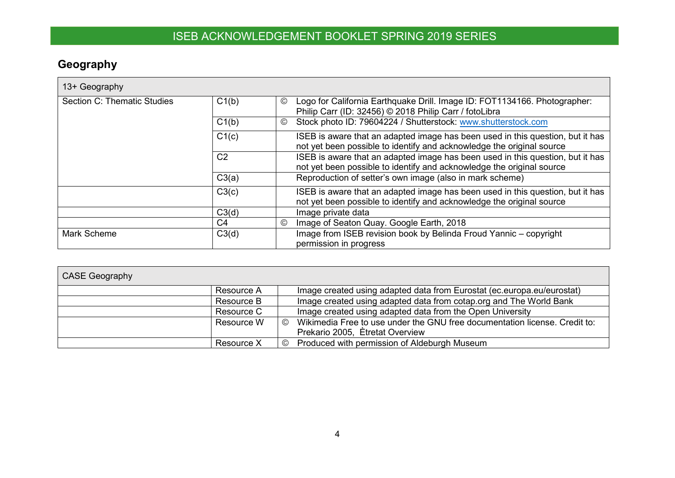## **Geography**

| 13+ Geography               |                |                                                                                                                                                         |
|-----------------------------|----------------|---------------------------------------------------------------------------------------------------------------------------------------------------------|
| Section C: Thematic Studies | C1(b)          | Logo for California Earthquake Drill. Image ID: FOT1134166. Photographer:<br>$_{\mathbb{C}}$<br>Philip Carr (ID: 32456) © 2018 Philip Carr / fotoLibra  |
|                             | C1(b)          | Stock photo ID: 79604224 / Shutterstock: www.shutterstock.com<br>◎                                                                                      |
|                             | C1(c)          | ISEB is aware that an adapted image has been used in this question, but it has<br>not yet been possible to identify and acknowledge the original source |
|                             | C <sub>2</sub> | ISEB is aware that an adapted image has been used in this question, but it has<br>not yet been possible to identify and acknowledge the original source |
|                             | C3(a)          | Reproduction of setter's own image (also in mark scheme)                                                                                                |
|                             | C3(c)          | ISEB is aware that an adapted image has been used in this question, but it has<br>not yet been possible to identify and acknowledge the original source |
|                             | C3(d)          | Image private data                                                                                                                                      |
|                             | C4             | $\circledcirc$<br>Image of Seaton Quay. Google Earth, 2018                                                                                              |
| Mark Scheme                 | C3(d)          | Image from ISEB revision book by Belinda Froud Yannic - copyright<br>permission in progress                                                             |

<span id="page-3-0"></span>

| <b>CASE Geography</b> |                                                                                                                                |
|-----------------------|--------------------------------------------------------------------------------------------------------------------------------|
| Resource A            | Image created using adapted data from Eurostat (ec.europa.eu/eurostat)                                                         |
| Resource B            | Image created using adapted data from cotap.org and The World Bank                                                             |
| Resource C            | Image created using adapted data from the Open University                                                                      |
| Resource W            | Wikimedia Free to use under the GNU free documentation license. Credit to:<br>$\circled{c}$<br>Prekario 2005, Etretat Overview |
| Resource X            | Produced with permission of Aldeburgh Museum<br>$\circledcirc$                                                                 |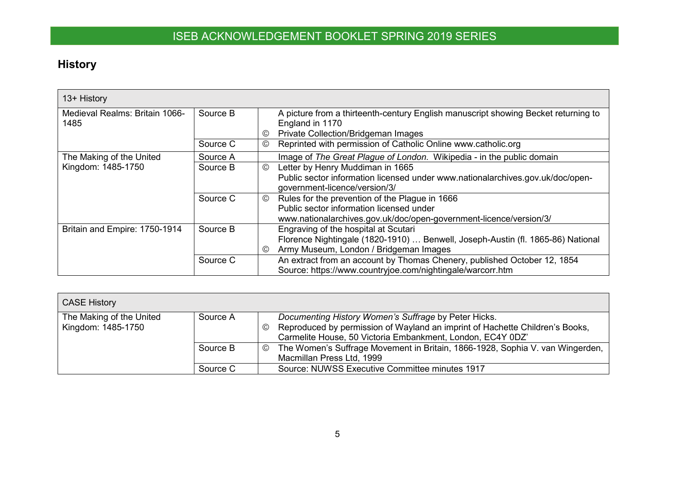## **History**

| 13+ History                            |          |                                                                                                                                                                                     |
|----------------------------------------|----------|-------------------------------------------------------------------------------------------------------------------------------------------------------------------------------------|
| Medieval Realms: Britain 1066-<br>1485 | Source B | A picture from a thirteenth-century English manuscript showing Becket returning to<br>England in 1170<br><b>Private Collection/Bridgeman Images</b><br>$\circledcirc$               |
|                                        | Source C | Reprinted with permission of Catholic Online www.catholic.org<br>$^\copyright$                                                                                                      |
| The Making of the United               | Source A | Image of The Great Plague of London. Wikipedia - in the public domain                                                                                                               |
| Kingdom: 1485-1750                     | Source B | Letter by Henry Muddiman in 1665<br>$\circledcirc$<br>Public sector information licensed under www.nationalarchives.gov.uk/doc/open-<br>government-licence/version/3/               |
|                                        | Source C | Rules for the prevention of the Plague in 1666<br>$\circledcirc$<br>Public sector information licensed under<br>www.nationalarchives.gov.uk/doc/open-government-licence/version/3/  |
| Britain and Empire: 1750-1914          | Source B | Engraving of the hospital at Scutari<br>Florence Nightingale (1820-1910)  Benwell, Joseph-Austin (fl. 1865-86) National<br>Army Museum, London / Bridgeman Images<br>$\circledcirc$ |
|                                        | Source C | An extract from an account by Thomas Chenery, published October 12, 1854<br>Source: https://www.countryjoe.com/nightingale/warcorr.htm                                              |

<span id="page-4-0"></span>

| <b>CASE History</b>                            |          |                                                                                                                                                                                                               |
|------------------------------------------------|----------|---------------------------------------------------------------------------------------------------------------------------------------------------------------------------------------------------------------|
| The Making of the United<br>Kingdom: 1485-1750 | Source A | Documenting History Women's Suffrage by Peter Hicks.<br>Reproduced by permission of Wayland an imprint of Hachette Children's Books,<br>$\odot$<br>Carmelite House, 50 Victoria Embankment, London, EC4Y 0DZ' |
|                                                | Source B | The Women's Suffrage Movement in Britain, 1866-1928, Sophia V. van Wingerden,<br>$\circledcirc$<br>Macmillan Press Ltd, 1999                                                                                  |
|                                                | Source C | Source: NUWSS Executive Committee minutes 1917                                                                                                                                                                |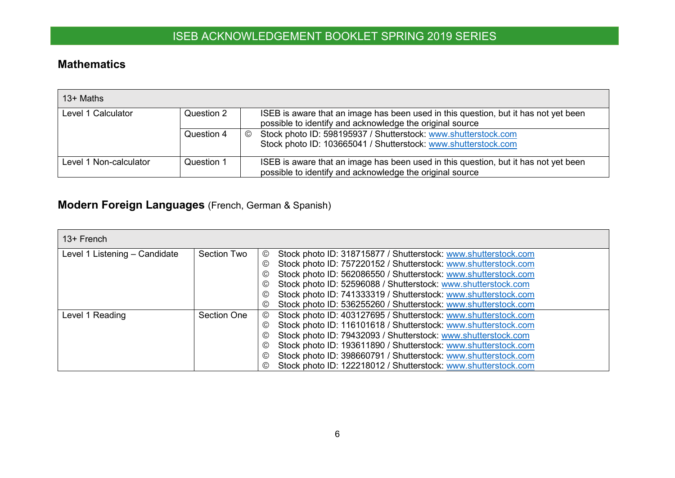#### **Mathematics**

| $13+$ Maths            |            |                                                                                                                                                    |
|------------------------|------------|----------------------------------------------------------------------------------------------------------------------------------------------------|
| Level 1 Calculator     | Question 2 | ISEB is aware that an image has been used in this question, but it has not yet been<br>possible to identify and acknowledge the original source    |
|                        | Question 4 | Stock photo ID: 598195937 / Shutterstock: www.shutterstock.com<br>$\circledcirc$<br>Stock photo ID: 103665041 / Shutterstock: www.shutterstock.com |
| Level 1 Non-calculator | Question 1 | ISEB is aware that an image has been used in this question, but it has not yet been<br>possible to identify and acknowledge the original source    |

## **Modern Foreign Languages** (French, German & Spanish)

<span id="page-5-1"></span><span id="page-5-0"></span>

| $13+$ French                  |             |                                                                                  |
|-------------------------------|-------------|----------------------------------------------------------------------------------|
| Level 1 Listening - Candidate | Section Two | Stock photo ID: 318715877 / Shutterstock: www.shutterstock.com<br>$^\copyright$  |
|                               |             | Stock photo ID: 757220152 / Shutterstock: www.shutterstock.com<br>$\circledcirc$ |
|                               |             | Stock photo ID: 562086550 / Shutterstock: www.shutterstock.com<br>$\circledcirc$ |
|                               |             | Stock photo ID: 52596088 / Shutterstock: www.shutterstock.com<br>$\circledcirc$  |
|                               |             | Stock photo ID: 741333319 / Shutterstock: www.shutterstock.com<br>$\circledcirc$ |
|                               |             | Stock photo ID: 536255260 / Shutterstock: www.shutterstock.com<br>$\circledcirc$ |
| Level 1 Reading               | Section One | Stock photo ID: 403127695 / Shutterstock: www.shutterstock.com<br>◎              |
|                               |             | Stock photo ID: 116101618 / Shutterstock: www.shutterstock.com<br>$\circledcirc$ |
|                               |             | Stock photo ID: 79432093 / Shutterstock: www.shutterstock.com<br>$\circledcirc$  |
|                               |             | Stock photo ID: 193611890 / Shutterstock: www.shutterstock.com<br>$\circledcirc$ |
|                               |             | Stock photo ID: 398660791 / Shutterstock: www.shutterstock.com<br>$\circledcirc$ |
|                               |             | Stock photo ID: 122218012 / Shutterstock: www.shutterstock.com<br>$\circled{c}$  |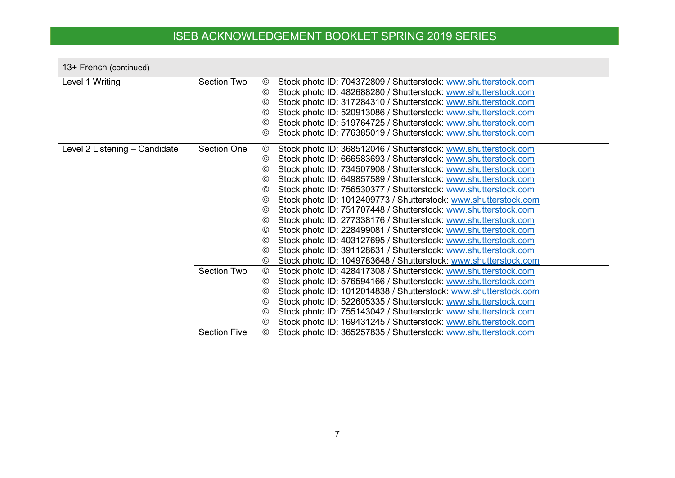| 13+ French (continued)        |                                           |                                                                                                                                                                                                                                                                                                                                                                                                                                                                                                                                                                                                                                                                                                                                                                                                                                                                                                                                                                                                     |
|-------------------------------|-------------------------------------------|-----------------------------------------------------------------------------------------------------------------------------------------------------------------------------------------------------------------------------------------------------------------------------------------------------------------------------------------------------------------------------------------------------------------------------------------------------------------------------------------------------------------------------------------------------------------------------------------------------------------------------------------------------------------------------------------------------------------------------------------------------------------------------------------------------------------------------------------------------------------------------------------------------------------------------------------------------------------------------------------------------|
| Level 1 Writing               | <b>Section Two</b>                        | Stock photo ID: 704372809 / Shutterstock: www.shutterstock.com<br>$\circledcirc$<br>Stock photo ID: 482688280 / Shutterstock: www.shutterstock.com<br>$\circledcirc$<br>Stock photo ID: 317284310 / Shutterstock: www.shutterstock.com<br>$\circledcirc$<br>Stock photo ID: 520913086 / Shutterstock: www.shutterstock.com<br>$\circledcirc$<br>Stock photo ID: 519764725 / Shutterstock: www.shutterstock.com<br>$\odot$<br>Stock photo ID: 776385019 / Shutterstock: www.shutterstock.com<br>$\circled{c}$                                                                                                                                                                                                                                                                                                                                                                                                                                                                                        |
| Level 2 Listening - Candidate | <b>Section One</b>                        | $\circledcirc$<br>Stock photo ID: 368512046 / Shutterstock: www.shutterstock.com<br>Stock photo ID: 666583693 / Shutterstock: www.shutterstock.com<br>$\odot$<br>Stock photo ID: 734507908 / Shutterstock: www.shutterstock.com<br>$\odot$<br>Stock photo ID: 649857589 / Shutterstock: www.shutterstock.com<br>$\circledcirc$<br>Stock photo ID: 756530377 / Shutterstock: www.shutterstock.com<br>$\circledcirc$<br>Stock photo ID: 1012409773 / Shutterstock: www.shutterstock.com<br>$\odot$<br>Stock photo ID: 751707448 / Shutterstock: www.shutterstock.com<br>$\circled{c}$<br>Stock photo ID: 277338176 / Shutterstock: www.shutterstock.com<br>$\odot$<br>Stock photo ID: 228499081 / Shutterstock: www.shutterstock.com<br>$\odot$<br>Stock photo ID: 403127695 / Shutterstock: www.shutterstock.com<br>$\odot$<br>Stock photo ID: 391128631 / Shutterstock: www.shutterstock.com<br>$\circledcirc$<br>Stock photo ID: 1049783648 / Shutterstock: www.shutterstock.com<br>$\circledcirc$ |
|                               | <b>Section Two</b><br><b>Section Five</b> | Stock photo ID: 428417308 / Shutterstock: www.shutterstock.com<br>$\odot$<br>Stock photo ID: 576594166 / Shutterstock: www.shutterstock.com<br>$\circledcirc$<br>Stock photo ID: 1012014838 / Shutterstock: www.shutterstock.com<br>$\circledcirc$<br>Stock photo ID: 522605335 / Shutterstock: www.shutterstock.com<br>$\circled{c}$<br>Stock photo ID: 755143042 / Shutterstock: www.shutterstock.com<br>$\odot$<br>Stock photo ID: 169431245 / Shutterstock: www.shutterstock.com<br>$\circledcirc$<br>Stock photo ID: 365257835 / Shutterstock: www.shutterstock.com<br>$_{\odot}$                                                                                                                                                                                                                                                                                                                                                                                                              |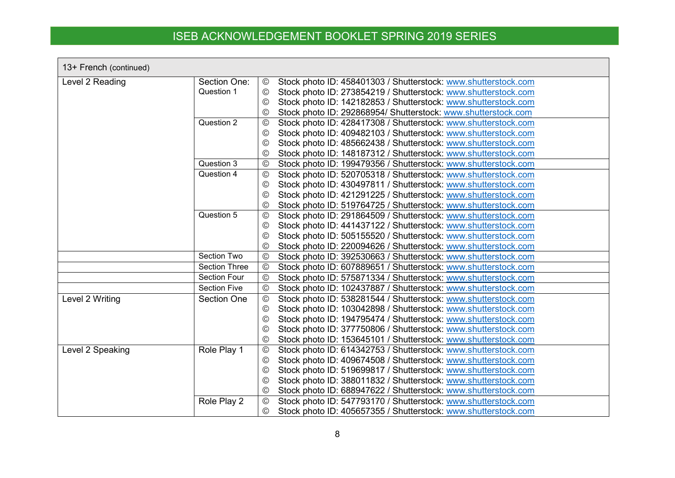| 13+ French (continued) |                      |                |                                                                |
|------------------------|----------------------|----------------|----------------------------------------------------------------|
| Level 2 Reading        | Section One:         | $_{\odot}$     | Stock photo ID: 458401303 / Shutterstock: www.shutterstock.com |
|                        | Question 1           | $\circledcirc$ | Stock photo ID: 273854219 / Shutterstock: www.shutterstock.com |
|                        |                      | $\odot$        | Stock photo ID: 142182853 / Shutterstock: www.shutterstock.com |
|                        |                      | $\circledcirc$ | Stock photo ID: 292868954/ Shutterstock: www.shutterstock.com  |
|                        | Question 2           | $^{\circledR}$ | Stock photo ID: 428417308 / Shutterstock: www.shutterstock.com |
|                        |                      | $^\copyright$  | Stock photo ID: 409482103 / Shutterstock: www.shutterstock.com |
|                        |                      | $\circledcirc$ | Stock photo ID: 485662438 / Shutterstock: www.shutterstock.com |
|                        |                      | $\circledcirc$ | Stock photo ID: 148187312 / Shutterstock: www.shutterstock.com |
|                        | Question 3           | $^{\circledR}$ | Stock photo ID: 199479356 / Shutterstock: www.shutterstock.com |
|                        | Question 4           | $_{\odot}$     | Stock photo ID: 520705318 / Shutterstock: www.shutterstock.com |
|                        |                      | ©              | Stock photo ID: 430497811 / Shutterstock: www.shutterstock.com |
|                        |                      | $\circledcirc$ | Stock photo ID: 421291225 / Shutterstock: www.shutterstock.com |
|                        |                      | $\odot$        | Stock photo ID: 519764725 / Shutterstock: www.shutterstock.com |
|                        | Question 5           | $_{\odot}$     | Stock photo ID: 291864509 / Shutterstock: www.shutterstock.com |
|                        |                      | $\odot$        | Stock photo ID: 441437122 / Shutterstock: www.shutterstock.com |
|                        |                      | $\circledcirc$ | Stock photo ID: 505155520 / Shutterstock: www.shutterstock.com |
|                        |                      | $\circledcirc$ | Stock photo ID: 220094626 / Shutterstock: www.shutterstock.com |
|                        | Section Two          | $\circledcirc$ | Stock photo ID: 392530663 / Shutterstock: www.shutterstock.com |
|                        | <b>Section Three</b> | $^\copyright$  | Stock photo ID: 607889651 / Shutterstock: www.shutterstock.com |
|                        | <b>Section Four</b>  | $^\copyright$  | Stock photo ID: 575871334 / Shutterstock: www.shutterstock.com |
|                        | <b>Section Five</b>  | $^{\circledR}$ | Stock photo ID: 102437887 / Shutterstock: www.shutterstock.com |
| Level 2 Writing        | <b>Section One</b>   | ©              | Stock photo ID: 538281544 / Shutterstock: www.shutterstock.com |
|                        |                      | $\circledcirc$ | Stock photo ID: 103042898 / Shutterstock: www.shutterstock.com |
|                        |                      | $\odot$        | Stock photo ID: 194795474 / Shutterstock: www.shutterstock.com |
|                        |                      | $\circled{c}$  | Stock photo ID: 377750806 / Shutterstock: www.shutterstock.com |
|                        |                      | $^\copyright$  | Stock photo ID: 153645101 / Shutterstock: www.shutterstock.com |
| Level 2 Speaking       | Role Play 1          | $\circledcirc$ | Stock photo ID: 614342753 / Shutterstock: www.shutterstock.com |
|                        |                      | $\circled{c}$  | Stock photo ID: 409674508 / Shutterstock: www.shutterstock.com |
|                        |                      | $\odot$        | Stock photo ID: 519699817 / Shutterstock: www.shutterstock.com |
|                        |                      | $\circledcirc$ | Stock photo ID: 388011832 / Shutterstock: www.shutterstock.com |
|                        |                      | $\circledcirc$ | Stock photo ID: 688947622 / Shutterstock: www.shutterstock.com |
|                        | Role Play 2          | $\circledcirc$ | Stock photo ID: 547793170 / Shutterstock: www.shutterstock.com |
|                        |                      | ©              | Stock photo ID: 405657355 / Shutterstock: www.shutterstock.com |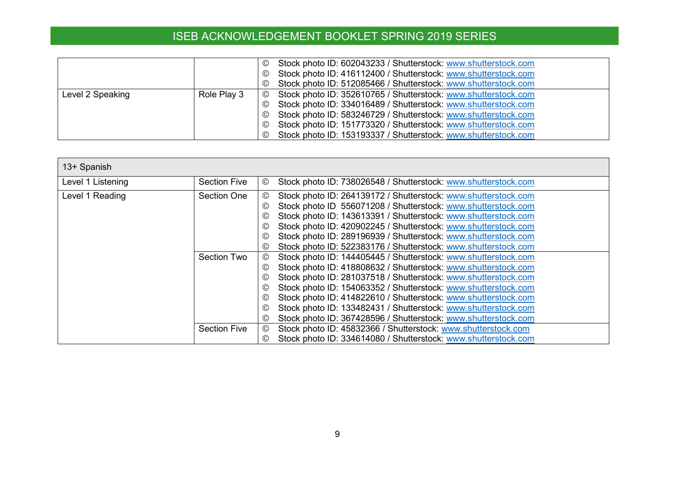|                  |             | Stock photo ID: 602043233 / Shutterstock: www.shutterstock.com<br>$\odot$ |
|------------------|-------------|---------------------------------------------------------------------------|
|                  |             | Stock photo ID: 416112400 / Shutterstock: www.shutterstock.com<br>$\odot$ |
|                  |             | © Stock photo ID: 512085466 / Shutterstock: www.shutterstock.com          |
| Level 2 Speaking | Role Play 3 | © Stock photo ID: 352610765 / Shutterstock: www.shutterstock.com          |
|                  |             | © Stock photo ID: 334016489 / Shutterstock: www.shutterstock.com          |
|                  |             | © Stock photo ID: 583246729 / Shutterstock: www.shutterstock.com          |
|                  |             | © Stock photo ID: 151773320 / Shutterstock: www.shutterstock.com          |
|                  |             | Stock photo ID: 153193337 / Shutterstock: www.shutterstock.com<br>$\odot$ |

| 13+ Spanish       |                     |                                                                                  |
|-------------------|---------------------|----------------------------------------------------------------------------------|
| Level 1 Listening | <b>Section Five</b> | Stock photo ID: 738026548 / Shutterstock: www.shutterstock.com<br>©              |
| Level 1 Reading   | <b>Section One</b>  | Stock photo ID: 264139172 / Shutterstock: www.shutterstock.com<br>©              |
|                   |                     | Stock photo ID 556071208 / Shutterstock: www.shutterstock.com<br>$\circledcirc$  |
|                   |                     | Stock photo ID: 143613391 / Shutterstock: www.shutterstock.com<br>$\circledcirc$ |
|                   |                     | Stock photo ID: 420902245 / Shutterstock: www.shutterstock.com<br>$\circledcirc$ |
|                   |                     | Stock photo ID: 289196939 / Shutterstock: www.shutterstock.com<br>$\circledcirc$ |
|                   |                     | Stock photo ID: 522383176 / Shutterstock: www.shutterstock.com<br>$\circledcirc$ |
|                   | <b>Section Two</b>  | Stock photo ID: 144405445 / Shutterstock: www.shutterstock.com<br>◎              |
|                   |                     | Stock photo ID: 418808632 / Shutterstock: www.shutterstock.com<br>$\odot$        |
|                   |                     | Stock photo ID: 281037518 / Shutterstock: www.shutterstock.com<br>$\circledcirc$ |
|                   |                     | Stock photo ID: 154063352 / Shutterstock: www.shutterstock.com<br>©              |
|                   |                     | Stock photo ID: 414822610 / Shutterstock: www.shutterstock.com<br>©              |
|                   |                     | Stock photo ID: 133482431 / Shutterstock: www.shutterstock.com<br>$\circledcirc$ |
|                   |                     | Stock photo ID: 367428596 / Shutterstock: www.shutterstock.com<br>$\circledcirc$ |
|                   | <b>Section Five</b> | Stock photo ID: 45832366 / Shutterstock: www.shutterstock.com<br>©               |
|                   |                     | Stock photo ID: 334614080 / Shutterstock: www.shutterstock.com<br>(C)            |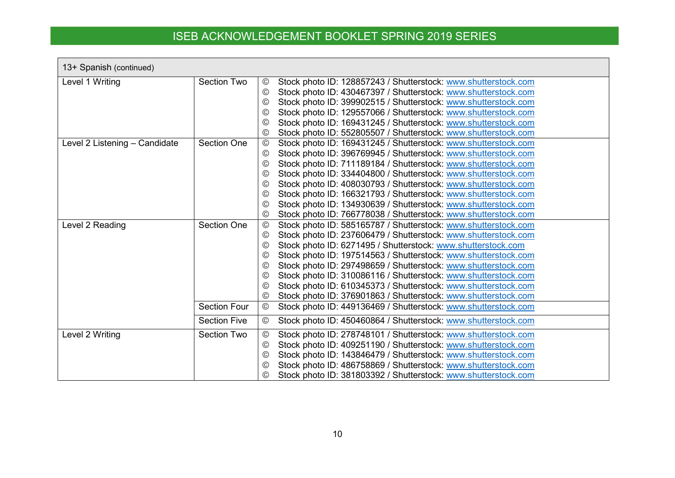| 13+ Spanish (continued)       |                     |                                                                                  |
|-------------------------------|---------------------|----------------------------------------------------------------------------------|
| Level 1 Writing               | Section Two         | Stock photo ID: 128857243 / Shutterstock: www.shutterstock.com<br>$\circledcirc$ |
|                               |                     | Stock photo ID: 430467397 / Shutterstock: www.shutterstock.com<br>©              |
|                               |                     | Stock photo ID: 399902515 / Shutterstock: www.shutterstock.com<br>$\circledcirc$ |
|                               |                     | Stock photo ID: 129557066 / Shutterstock: www.shutterstock.com<br>$\circledcirc$ |
|                               |                     | Stock photo ID: 169431245 / Shutterstock: www.shutterstock.com<br>$\circledcirc$ |
|                               |                     | Stock photo ID: 552805507 / Shutterstock: www.shutterstock.com<br>$\circledcirc$ |
| Level 2 Listening - Candidate | <b>Section One</b>  | Stock photo ID: 169431245 / Shutterstock: www.shutterstock.com<br>$_{\odot}$     |
|                               |                     | Stock photo ID: 396769945 / Shutterstock: www.shutterstock.com<br>$\odot$        |
|                               |                     | Stock photo ID: 711189184 / Shutterstock: www.shutterstock.com<br>$\odot$        |
|                               |                     | Stock photo ID: 334404800 / Shutterstock: www.shutterstock.com<br>$\odot$        |
|                               |                     | Stock photo ID: 408030793 / Shutterstock: www.shutterstock.com<br>$\circledcirc$ |
|                               |                     | Stock photo ID: 166321793 / Shutterstock: www.shutterstock.com<br>$\circledcirc$ |
|                               |                     | Stock photo ID: 134930639 / Shutterstock: www.shutterstock.com<br>$\circledcirc$ |
|                               |                     | Stock photo ID: 766778038 / Shutterstock: www.shutterstock.com<br>$\circled{c}$  |
| Level 2 Reading               | <b>Section One</b>  | Stock photo ID: 585165787 / Shutterstock: www.shutterstock.com<br>$\odot$        |
|                               |                     | Stock photo ID: 237606479 / Shutterstock: www.shutterstock.com<br>$\circledcirc$ |
|                               |                     | Stock photo ID: 6271495 / Shutterstock: www.shutterstock.com<br>$\circledcirc$   |
|                               |                     | Stock photo ID: 197514563 / Shutterstock: www.shutterstock.com<br>$\odot$        |
|                               |                     | Stock photo ID: 297498659 / Shutterstock: www.shutterstock.com<br>$\circledcirc$ |
|                               |                     | Stock photo ID: 310086116 / Shutterstock: www.shutterstock.com<br>©              |
|                               |                     | Stock photo ID: 610345373 / Shutterstock: www.shutterstock.com<br>$\circledcirc$ |
|                               |                     | Stock photo ID: 376901863 / Shutterstock: www.shutterstock.com<br>$\circled{c}$  |
|                               | <b>Section Four</b> | Stock photo ID: 449136469 / Shutterstock: www.shutterstock.com<br>$\circledcirc$ |
|                               | <b>Section Five</b> | Stock photo ID: 450460864 / Shutterstock: www.shutterstock.com<br>$\circledcirc$ |
| Level 2 Writing               | <b>Section Two</b>  | Stock photo ID: 278748101 / Shutterstock: www.shutterstock.com<br>©              |
|                               |                     | Stock photo ID: 409251190 / Shutterstock: www.shutterstock.com<br>$\circledcirc$ |
|                               |                     | Stock photo ID: 143846479 / Shutterstock: www.shutterstock.com<br>$\circledcirc$ |
|                               |                     | Stock photo ID: 486758869 / Shutterstock: www.shutterstock.com<br>$\circled{c}$  |
|                               |                     | Stock photo ID: 381803392 / Shutterstock: www.shutterstock.com<br>(C)            |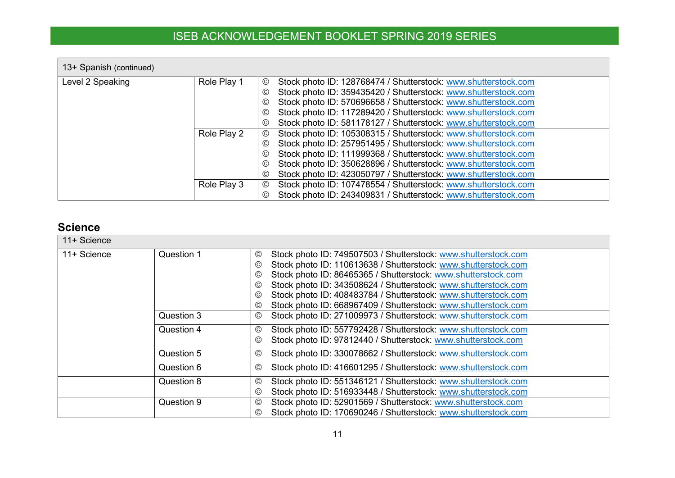| 13+ Spanish (continued) |             |                                                                                  |
|-------------------------|-------------|----------------------------------------------------------------------------------|
| Level 2 Speaking        | Role Play 1 | Stock photo ID: 128768474 / Shutterstock: www.shutterstock.com<br>◎              |
|                         |             | Stock photo ID: 359435420 / Shutterstock: www.shutterstock.com<br>©              |
|                         |             | Stock photo ID: 570696658 / Shutterstock: www.shutterstock.com<br>©              |
|                         |             | Stock photo ID: 117289420 / Shutterstock: www.shutterstock.com<br>©              |
|                         |             | Stock photo ID: 581178127 / Shutterstock: www.shutterstock.com<br>©              |
|                         | Role Play 2 | Stock photo ID: 105308315 / Shutterstock: www.shutterstock.com<br>◎              |
|                         |             | Stock photo ID: 257951495 / Shutterstock: www.shutterstock.com<br>$\circledcirc$ |
|                         |             | Stock photo ID: 111999368 / Shutterstock: www.shutterstock.com<br>$\circledcirc$ |
|                         |             | Stock photo ID: 350628896 / Shutterstock: www.shutterstock.com<br>©              |
|                         |             | Stock photo ID: 423050797 / Shutterstock: www.shutterstock.com<br>©              |
|                         | Role Play 3 | Stock photo ID: 107478554 / Shutterstock: www.shutterstock.com<br>$\circledcirc$ |
|                         |             | Stock photo ID: 243409831 / Shutterstock: www.shutterstock.com<br>$\circledcirc$ |

### **Science**

<span id="page-10-0"></span>

| 11+ Science |            |                                                                                                                                                                                                                                                                                                                                                                                                                                       |
|-------------|------------|---------------------------------------------------------------------------------------------------------------------------------------------------------------------------------------------------------------------------------------------------------------------------------------------------------------------------------------------------------------------------------------------------------------------------------------|
| 11+ Science | Question 1 | Stock photo ID: 749507503 / Shutterstock: www.shutterstock.com<br>©<br>Stock photo ID: 110613638 / Shutterstock: www.shutterstock.com<br>©<br>Stock photo ID: 86465365 / Shutterstock: www.shutterstock.com<br>©<br>Stock photo ID: 343508624 / Shutterstock: www.shutterstock.com<br>©<br>Stock photo ID: 408483784 / Shutterstock: www.shutterstock.com<br>©<br>Stock photo ID: 668967409 / Shutterstock: www.shutterstock.com<br>© |
|             | Question 3 | Stock photo ID: 271009973 / Shutterstock: www.shutterstock.com<br>©                                                                                                                                                                                                                                                                                                                                                                   |
|             | Question 4 | Stock photo ID: 557792428 / Shutterstock: www.shutterstock.com<br>©<br>Stock photo ID: 97812440 / Shutterstock: www.shutterstock.com<br>©                                                                                                                                                                                                                                                                                             |
|             | Question 5 | Stock photo ID: 330078662 / Shutterstock: www.shutterstock.com<br>©                                                                                                                                                                                                                                                                                                                                                                   |
|             | Question 6 | Stock photo ID: 416601295 / Shutterstock: www.shutterstock.com<br>©                                                                                                                                                                                                                                                                                                                                                                   |
|             | Question 8 | Stock photo ID: 551346121 / Shutterstock: www.shutterstock.com<br>©<br>Stock photo ID: 516933448 / Shutterstock: www.shutterstock.com<br>©                                                                                                                                                                                                                                                                                            |
|             | Question 9 | Stock photo ID: 52901569 / Shutterstock: www.shutterstock.com<br>©<br>Stock photo ID: 170690246 / Shutterstock: www.shutterstock.com<br>©                                                                                                                                                                                                                                                                                             |